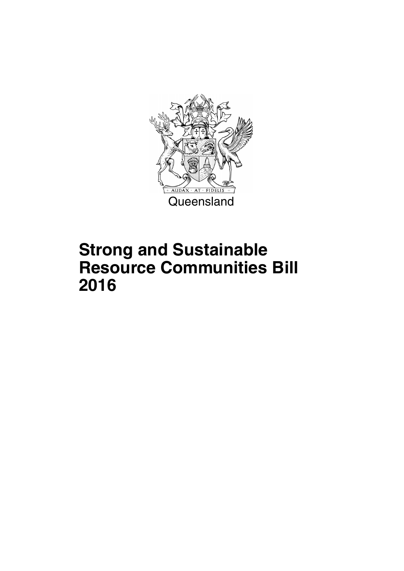

## **Strong and Sustainable Resource Communities Bill 2016**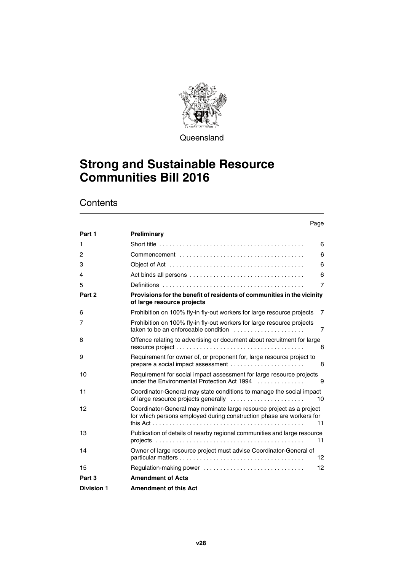

**Queensland** 

## **Strong and Sustainable Resource Communities Bill 2016**

## **Contents**

## Page

| Part 1            | Preliminary                                                                                                                                             |                |
|-------------------|---------------------------------------------------------------------------------------------------------------------------------------------------------|----------------|
| 1                 |                                                                                                                                                         | 6              |
| 2                 |                                                                                                                                                         | 6              |
| 3                 |                                                                                                                                                         | 6              |
| 4                 |                                                                                                                                                         | 6              |
| 5                 |                                                                                                                                                         | $\overline{7}$ |
| Part 2            | Provisions for the benefit of residents of communities in the vicinity<br>of large resource projects                                                    |                |
| 6                 | Prohibition on 100% fly-in fly-out workers for large resource projects                                                                                  | $\overline{7}$ |
| 7                 | Prohibition on 100% fly-in fly-out workers for large resource projects<br>taken to be an enforceable condition $\ldots, \ldots, \ldots, \ldots, \ldots$ | $\overline{7}$ |
| 8                 | Offence relating to advertising or document about recruitment for large                                                                                 | 8              |
| 9                 | Requirement for owner of, or proponent for, large resource project to<br>prepare a social impact assessment                                             | 8              |
| 10                | Requirement for social impact assessment for large resource projects<br>under the Environmental Protection Act 1994                                     | 9              |
| 11                | Coordinator-General may state conditions to manage the social impact                                                                                    | 10             |
| 12                | Coordinator-General may nominate large resource project as a project<br>for which persons employed during construction phase are workers for            | 11             |
| 13                | Publication of details of nearby regional communities and large resource<br>11                                                                          |                |
| 14                | Owner of large resource project must advise Coordinator-General of                                                                                      | 12             |
| 15                | Regulation-making power                                                                                                                                 | 12             |
| Part 3            | <b>Amendment of Acts</b>                                                                                                                                |                |
| <b>Division 1</b> | <b>Amendment of this Act</b>                                                                                                                            |                |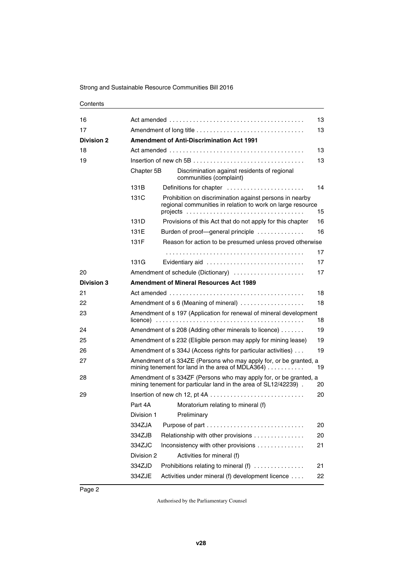### **Contents**

| 16                |            |                                                                                                                                      | 13 |
|-------------------|------------|--------------------------------------------------------------------------------------------------------------------------------------|----|
| 17                |            |                                                                                                                                      | 13 |
| <b>Division 2</b> |            | <b>Amendment of Anti-Discrimination Act 1991</b>                                                                                     |    |
| 18                |            |                                                                                                                                      | 13 |
| 19                |            |                                                                                                                                      | 13 |
|                   | Chapter 5B | Discrimination against residents of regional<br>communities (complaint)                                                              |    |
|                   | 131B       | Definitions for chapter                                                                                                              | 14 |
|                   | 131C       | Prohibition on discrimination against persons in nearby<br>regional communities in relation to work on large resource                | 15 |
|                   | 131D       | Provisions of this Act that do not apply for this chapter                                                                            | 16 |
|                   | 131E       | Burden of proof-general principle                                                                                                    | 16 |
|                   | 131F       | Reason for action to be presumed unless proved otherwise                                                                             |    |
|                   |            |                                                                                                                                      | 17 |
|                   | 131G       | Evidentiary aid                                                                                                                      | 17 |
| 20                |            | Amendment of schedule (Dictionary)                                                                                                   | 17 |
| <b>Division 3</b> |            | <b>Amendment of Mineral Resources Act 1989</b>                                                                                       |    |
| 21                |            |                                                                                                                                      | 18 |
| 22                |            | Amendment of s 6 (Meaning of mineral)                                                                                                | 18 |
| 23                |            | Amendment of s 197 (Application for renewal of mineral development                                                                   | 18 |
| 24                |            | Amendment of s 208 (Adding other minerals to licence)                                                                                | 19 |
| 25                |            | Amendment of s 232 (Eligible person may apply for mining lease)                                                                      | 19 |
| 26                |            | Amendment of s 334J (Access rights for particular activities)                                                                        | 19 |
| 27                |            | Amendment of s 334ZE (Persons who may apply for, or be granted, a<br>mining tenement for land in the area of MDLA364)                | 19 |
| 28                |            | Amendment of s 334ZF (Persons who may apply for, or be granted, a<br>mining tenement for particular land in the area of SL12/42239). | 20 |
| 29                |            |                                                                                                                                      | 20 |
|                   | Part 4A    | Moratorium relating to mineral (f)                                                                                                   |    |
|                   | Division 1 | Preliminary                                                                                                                          |    |
|                   | 334ZJA     |                                                                                                                                      | 20 |
|                   | 334ZJB     | Relationship with other provisions                                                                                                   | 20 |
|                   | 334ZJC     | Inconsistency with other provisions                                                                                                  | 21 |
|                   | Division 2 | Activities for mineral (f)                                                                                                           |    |
|                   | 334ZJD     | Prohibitions relating to mineral (f)                                                                                                 | 21 |
|                   | 334ZJE     | Activities under mineral (f) development licence                                                                                     | 22 |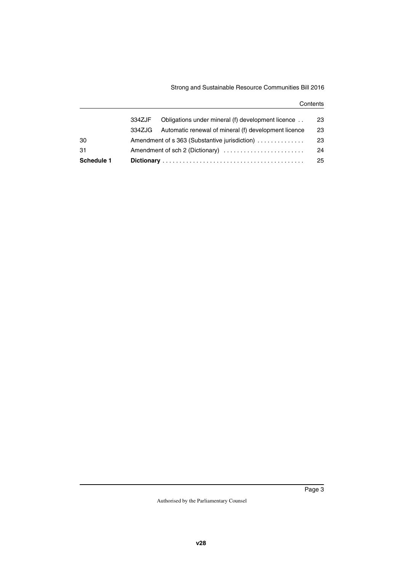## Strong and Sustainable Resource Communities Bill 2016

### **Contents**

| Schedule 1 |        |                                                      | 25 |
|------------|--------|------------------------------------------------------|----|
| 31         |        |                                                      | 24 |
| 30         |        | Amendment of s 363 (Substantive jurisdiction)        | 23 |
|            | 334ZJG | Automatic renewal of mineral (f) development licence | 23 |
|            | 334ZJF | Obligations under mineral (f) development licence    | 23 |
|            |        |                                                      |    |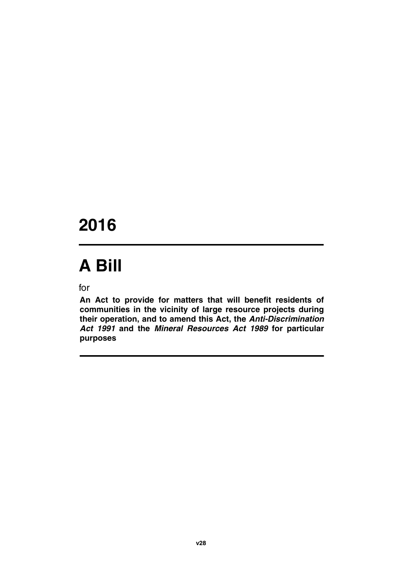## **2016**

# **A Bill**

for

**An Act to provide for matters that will benefit residents of communities in the vicinity of large resource projects during their operation, and to amend this Act, the** *Anti-Discrimination Act 1991* **and the** *Mineral Resources Act 1989* **for particular purposes**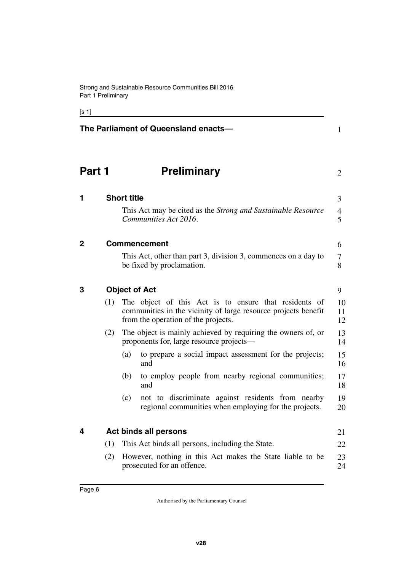[s 1]

<span id="page-7-9"></span><span id="page-7-8"></span><span id="page-7-7"></span><span id="page-7-6"></span><span id="page-7-5"></span><span id="page-7-4"></span><span id="page-7-3"></span><span id="page-7-2"></span><span id="page-7-1"></span><span id="page-7-0"></span>

| The Parliament of Queensland enacts- |     |                                                                                                                                                                |                               |
|--------------------------------------|-----|----------------------------------------------------------------------------------------------------------------------------------------------------------------|-------------------------------|
| Part 1                               |     | <b>Preliminary</b>                                                                                                                                             | $\overline{2}$                |
| 1                                    |     | <b>Short title</b>                                                                                                                                             | 3                             |
|                                      |     | This Act may be cited as the Strong and Sustainable Resource<br>Communities Act 2016.                                                                          | $\overline{4}$<br>5           |
| 2                                    |     | <b>Commencement</b>                                                                                                                                            | 6                             |
|                                      |     | This Act, other than part 3, division 3, commences on a day to<br>be fixed by proclamation.                                                                    | $\overline{\mathcal{L}}$<br>8 |
| 3                                    |     | <b>Object of Act</b>                                                                                                                                           | 9                             |
|                                      | (1) | The object of this Act is to ensure that residents of<br>communities in the vicinity of large resource projects benefit<br>from the operation of the projects. | 10<br>11<br>12                |
|                                      | (2) | The object is mainly achieved by requiring the owners of, or<br>proponents for, large resource projects—                                                       | 13<br>14                      |
|                                      |     | to prepare a social impact assessment for the projects;<br>(a)<br>and                                                                                          | 15<br>16                      |
|                                      |     | (b)<br>to employ people from nearby regional communities;<br>and                                                                                               | 17<br>18                      |
|                                      |     | not to discriminate against residents from nearby<br>(c)<br>regional communities when employing for the projects.                                              | 19<br>20                      |
| 4                                    |     | <b>Act binds all persons</b>                                                                                                                                   | 21                            |
|                                      | (1) | This Act binds all persons, including the State.                                                                                                               | 22                            |
|                                      | (2) | However, nothing in this Act makes the State liable to be<br>prosecuted for an offence.                                                                        | 23<br>24                      |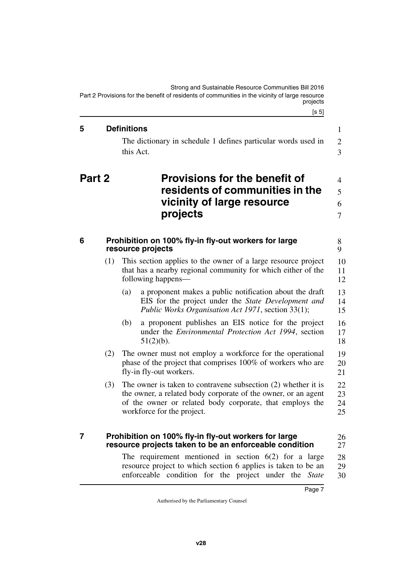<span id="page-8-2"></span><span id="page-8-1"></span><span id="page-8-0"></span> $[s 5]$ Strong and Sustainable Resource Communities Bill 2016 Part 2 Provisions for the benefit of residents of communities in the vicinity of large resource projects **5 Definitions**  The dictionary in schedule 1 defines particular words used in this Act. **Part 2 Provisions for the benefit of residents of communities in the vicinity of large resource projects 6 Prohibition on 100% fly-in fly-out workers for large resource projects**

- <span id="page-8-5"></span><span id="page-8-4"></span><span id="page-8-3"></span>(1) This section applies to the owner of a large resource project that has a nearby regional community for which either of the following happens— 10 11 12
	- (a) a proponent makes a public notification about the draft EIS for the project under the *State Development and Public Works Organisation Act 1971*, section 33(1); 13 14 15
	- (b) a proponent publishes an EIS notice for the project under the *Environmental Protection Act 1994*, section 51(2)(b). 16 17 18
- (2) The owner must not employ a workforce for the operational phase of the project that comprises 100% of workers who are fly-in fly-out workers. 19 20 21
- (3) The owner is taken to contravene subsection (2) whether it is the owner, a related body corporate of the owner, or an agent of the owner or related body corporate, that employs the workforce for the project. 22 23 24 25

#### <span id="page-8-7"></span><span id="page-8-6"></span>**7 Prohibition on 100% fly-in fly-out workers for large resource projects taken to be an enforceable condition** 26 27

The requirement mentioned in section  $6(2)$  for a large resource project to which section 6 applies is taken to be an enforceable condition for the project under the *State* 28 29 30

1 2 3

8 9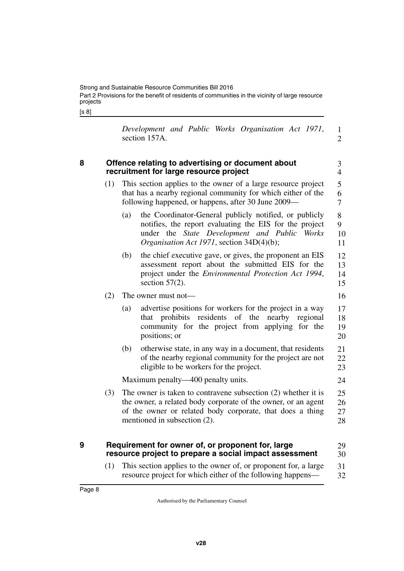[s 8]

|               |  | Development and Public Works Organisation Act 1971, |  |  |
|---------------|--|-----------------------------------------------------|--|--|
| section 157A. |  |                                                     |  |  |

3 4

16

24

## <span id="page-9-0"></span>**8 Offence relating to advertising or document about recruitment for large resource project**

- <span id="page-9-1"></span>(1) This section applies to the owner of a large resource project that has a nearby regional community for which either of the following happened, or happens, after 30 June 2009— 5 6 7
	- (a) the Coordinator-General publicly notified, or publicly notifies, the report evaluating the EIS for the project under the *State Development and Public Works Organisation Act 1971*, section 34D(4)(b); 8 9 10 11
	- (b) the chief executive gave, or gives, the proponent an EIS assessment report about the submitted EIS for the project under the *Environmental Protection Act 1994*, section  $57(2)$ . 12 13 14 15

## (2) The owner must not—

- (a) advertise positions for workers for the project in a way that prohibits residents of the nearby regional community for the project from applying for the positions; or 17 18 19 20
- (b) otherwise state, in any way in a document, that residents of the nearby regional community for the project are not eligible to be workers for the project. 21 22 23

Maximum penalty—400 penalty units.

(3) The owner is taken to contravene subsection (2) whether it is the owner, a related body corporate of the owner, or an agent of the owner or related body corporate, that does a thing mentioned in subsection (2). 25 26 27 28

#### <span id="page-9-2"></span>**9 Requirement for owner of, or proponent for, large resource project to prepare a social impact assessment** 29 30

<span id="page-9-3"></span>(1) This section applies to the owner of, or proponent for, a large resource project for which either of the following happens— 31 32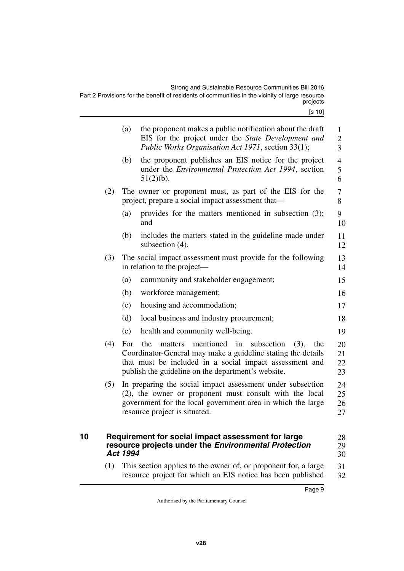|    |     | (a)             | the proponent makes a public notification about the draft<br>EIS for the project under the State Development and<br>Public Works Organisation Act 1971, section 33(1);                                                                          | $\mathbf{1}$<br>$\mathbf{2}$<br>3 |
|----|-----|-----------------|-------------------------------------------------------------------------------------------------------------------------------------------------------------------------------------------------------------------------------------------------|-----------------------------------|
|    |     | (b)             | the proponent publishes an EIS notice for the project<br>under the <i>Environmental Protection Act 1994</i> , section<br>$51(2)(b)$ .                                                                                                           | $\overline{4}$<br>5<br>6          |
|    | (2) |                 | The owner or proponent must, as part of the EIS for the<br>project, prepare a social impact assessment that—                                                                                                                                    | 7<br>8                            |
|    |     | (a)             | provides for the matters mentioned in subsection (3);<br>and                                                                                                                                                                                    | 9<br>10                           |
|    |     | (b)             | includes the matters stated in the guideline made under<br>subsection $(4)$ .                                                                                                                                                                   | 11<br>12                          |
|    | (3) |                 | The social impact assessment must provide for the following<br>in relation to the project—                                                                                                                                                      | 13<br>14                          |
|    |     | (a)             | community and stakeholder engagement;                                                                                                                                                                                                           | 15                                |
|    |     | (b)             | workforce management;                                                                                                                                                                                                                           | 16                                |
|    |     | (c)             | housing and accommodation;                                                                                                                                                                                                                      | 17                                |
|    |     | (d)             | local business and industry procurement;                                                                                                                                                                                                        | 18                                |
|    |     | (e)             | health and community well-being.                                                                                                                                                                                                                | 19                                |
|    | (4) | For             | mentioned<br>in<br>subsection<br>the<br>matters<br>(3),<br>the<br>Coordinator-General may make a guideline stating the details<br>that must be included in a social impact assessment and<br>publish the guideline on the department's website. | 20<br>21<br>22<br>23              |
|    | (5) |                 | In preparing the social impact assessment under subsection<br>(2), the owner or proponent must consult with the local<br>government for the local government area in which the large<br>resource project is situated.                           | 24<br>25<br>26<br>27              |
| 10 |     | <b>Act 1994</b> | Requirement for social impact assessment for large<br>resource projects under the Environmental Protection                                                                                                                                      | 28<br>29<br>30                    |

<span id="page-10-1"></span><span id="page-10-0"></span>(1) This section applies to the owner of, or proponent for, a large resource project for which an EIS notice has been published 31 32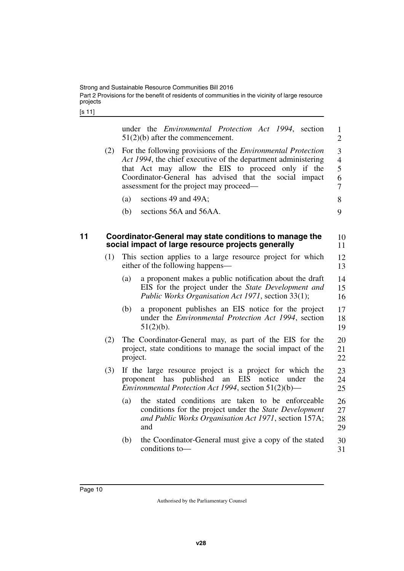[s 11]

<span id="page-11-1"></span><span id="page-11-0"></span>

|    |     | under the <i>Environmental Protection Act 1994</i> , section<br>$51(2)(b)$ after the commencement.                                                                                                                                                                                             | $\mathbf{1}$<br>$\overline{2}$                  |
|----|-----|------------------------------------------------------------------------------------------------------------------------------------------------------------------------------------------------------------------------------------------------------------------------------------------------|-------------------------------------------------|
|    | (2) | For the following provisions of the <i>Environmental Protection</i><br>Act 1994, the chief executive of the department administering<br>that Act may allow the EIS to proceed only if the<br>Coordinator-General has advised that the social impact<br>assessment for the project may proceed— | 3<br>$\overline{4}$<br>5<br>6<br>$\overline{7}$ |
|    |     | sections 49 and 49A;<br>(a)                                                                                                                                                                                                                                                                    | 8                                               |
|    |     | sections 56A and 56AA.<br>(b)                                                                                                                                                                                                                                                                  | 9                                               |
| 11 |     | Coordinator-General may state conditions to manage the<br>social impact of large resource projects generally                                                                                                                                                                                   | 10<br>11                                        |
|    | (1) | This section applies to a large resource project for which<br>either of the following happens—                                                                                                                                                                                                 | 12<br>13                                        |
|    |     | (a)<br>a proponent makes a public notification about the draft<br>EIS for the project under the State Development and<br>Public Works Organisation Act 1971, section 33(1);                                                                                                                    | 14<br>15<br>16                                  |
|    |     | a proponent publishes an EIS notice for the project<br>(b)<br>under the <i>Environmental Protection Act 1994</i> , section<br>$51(2)(b)$ .                                                                                                                                                     | 17<br>18<br>19                                  |
|    | (2) | The Coordinator-General may, as part of the EIS for the<br>project, state conditions to manage the social impact of the<br>project.                                                                                                                                                            | 20<br>21<br>22                                  |
|    | (3) | If the large resource project is a project for which the<br>published<br>EIS<br>proponent has<br>an<br>notice<br>the<br>under<br>Environmental Protection Act 1994, section 51(2)(b)—                                                                                                          | 23<br>24<br>25                                  |
|    |     | the stated conditions are taken to be enforceable<br>(a)<br>conditions for the project under the State Development<br>and Public Works Organisation Act 1971, section 157A;<br>and                                                                                                             | 26<br>27<br>28<br>29                            |
|    |     | the Coordinator-General must give a copy of the stated<br>(b)<br>conditions to-                                                                                                                                                                                                                | 30<br>31                                        |
|    |     |                                                                                                                                                                                                                                                                                                |                                                 |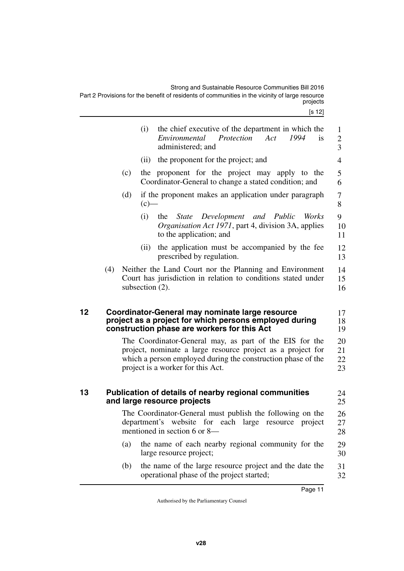Strong and Sustainable Resource Communities Bill 2016 Part 2 Provisions for the benefit of residents of communities in the vicinity of large resource projects

<span id="page-12-3"></span><span id="page-12-2"></span><span id="page-12-1"></span><span id="page-12-0"></span>

|    |     |     | (i)                | the chief executive of the department in which the<br>Act<br>Protection<br>1994<br>Environmental<br><i>is</i><br>administered; and                                                                                          | 1<br>$\overline{c}$<br>$\overline{3}$  |
|----|-----|-----|--------------------|-----------------------------------------------------------------------------------------------------------------------------------------------------------------------------------------------------------------------------|----------------------------------------|
|    |     |     | (ii)               | the proponent for the project; and                                                                                                                                                                                          | 4                                      |
|    |     | (c) |                    | the proponent for the project may apply to the<br>Coordinator-General to change a stated condition; and                                                                                                                     | 5<br>6                                 |
|    |     | (d) | $(c)$ —            | if the proponent makes an application under paragraph                                                                                                                                                                       | 7<br>8                                 |
|    |     |     | (i)                | State Development and Public<br>the<br><i>Works</i><br><i>Organisation Act 1971</i> , part 4, division 3A, applies<br>to the application; and                                                                               | 9<br>10<br>11                          |
|    |     |     | (ii)               | the application must be accompanied by the fee<br>prescribed by regulation.                                                                                                                                                 | 12<br>13                               |
|    | (4) |     | subsection $(2)$ . | Neither the Land Court nor the Planning and Environment<br>Court has jurisdiction in relation to conditions stated under                                                                                                    | 14<br>15<br>16                         |
|    |     |     |                    |                                                                                                                                                                                                                             |                                        |
| 12 |     |     |                    | Coordinator-General may nominate large resource<br>project as a project for which persons employed during<br>construction phase are workers for this Act                                                                    |                                        |
|    |     |     |                    | The Coordinator-General may, as part of the EIS for the<br>project, nominate a large resource project as a project for<br>which a person employed during the construction phase of the<br>project is a worker for this Act. | 17<br>18<br>19<br>20<br>21<br>22<br>23 |
| 13 |     |     |                    | Publication of details of nearby regional communities<br>and large resource projects                                                                                                                                        | 24<br>25                               |
|    |     |     |                    | The Coordinator-General must publish the following on the<br>department's website for each large<br>resource project<br>mentioned in section 6 or 8—                                                                        | 26<br>27<br>28                         |
|    |     | (a) |                    | the name of each nearby regional community for the<br>large resource project;                                                                                                                                               | 29<br>30                               |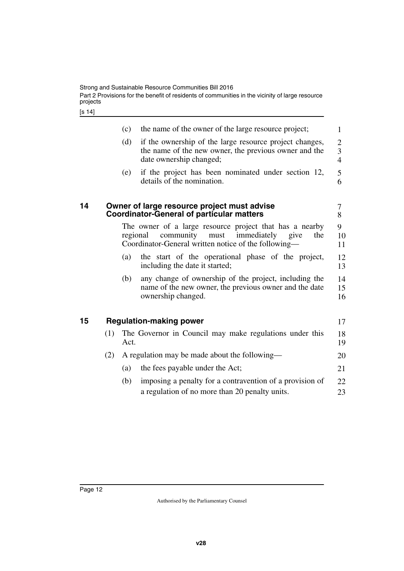[s 14]

<span id="page-13-3"></span><span id="page-13-2"></span><span id="page-13-1"></span><span id="page-13-0"></span>

| 1<br>if the ownership of the large resource project changes,<br>$\overline{2}$<br>3<br>the name of the new owner, the previous owner and the<br>$\overline{4}$<br>if the project has been nominated under section 12,<br>5<br>6<br>7<br>8<br>The owner of a large resource project that has a nearby<br>9<br>the<br>10 |
|------------------------------------------------------------------------------------------------------------------------------------------------------------------------------------------------------------------------------------------------------------------------------------------------------------------------|
|                                                                                                                                                                                                                                                                                                                        |
|                                                                                                                                                                                                                                                                                                                        |
|                                                                                                                                                                                                                                                                                                                        |
|                                                                                                                                                                                                                                                                                                                        |
| 11                                                                                                                                                                                                                                                                                                                     |
| the start of the operational phase of the project,<br>12<br>13                                                                                                                                                                                                                                                         |
| any change of ownership of the project, including the<br>14<br>name of the new owner, the previous owner and the date<br>15<br>16                                                                                                                                                                                      |
| 17                                                                                                                                                                                                                                                                                                                     |
| 18<br>19                                                                                                                                                                                                                                                                                                               |
| 20                                                                                                                                                                                                                                                                                                                     |
| 21                                                                                                                                                                                                                                                                                                                     |
| 22                                                                                                                                                                                                                                                                                                                     |
| The Governor in Council may make regulations under this<br>imposing a penalty for a contravention of a provision of                                                                                                                                                                                                    |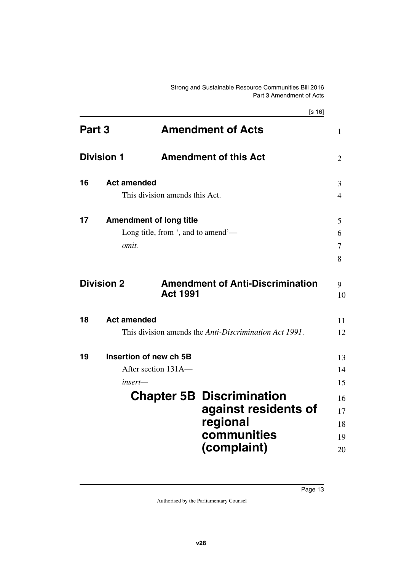<span id="page-14-15"></span><span id="page-14-14"></span><span id="page-14-13"></span><span id="page-14-12"></span><span id="page-14-11"></span><span id="page-14-10"></span><span id="page-14-9"></span><span id="page-14-8"></span><span id="page-14-7"></span><span id="page-14-6"></span><span id="page-14-5"></span><span id="page-14-4"></span><span id="page-14-3"></span><span id="page-14-2"></span><span id="page-14-1"></span><span id="page-14-0"></span>

|        |                    | [s 16]                                                     |                |
|--------|--------------------|------------------------------------------------------------|----------------|
| Part 3 |                    | <b>Amendment of Acts</b>                                   | 1              |
|        | <b>Division 1</b>  | <b>Amendment of this Act</b>                               | $\overline{2}$ |
| 16     | <b>Act amended</b> |                                                            | 3              |
|        |                    | This division amends this Act.                             | 4              |
| 17     |                    | <b>Amendment of long title</b>                             | 5              |
|        |                    | Long title, from ', and to amend'—                         | 6              |
|        | omit.              |                                                            | $\tau$         |
|        |                    |                                                            | 8              |
|        | <b>Division 2</b>  | <b>Amendment of Anti-Discrimination</b><br><b>Act 1991</b> | 9<br>10        |
| 18     | <b>Act amended</b> |                                                            | 11             |
|        |                    | This division amends the Anti-Discrimination Act 1991.     | 12             |
| 19     |                    | Insertion of new ch 5B                                     | 13             |
|        |                    | After section 131A-                                        | 14             |
|        | insert—            |                                                            | 15             |
|        |                    | <b>Chapter 5B Discrimination</b>                           | 16             |
|        |                    | against residents of                                       | 17             |
|        |                    | regional                                                   | 18             |
|        |                    | communities                                                | 19             |
|        |                    | (complaint)                                                | 20             |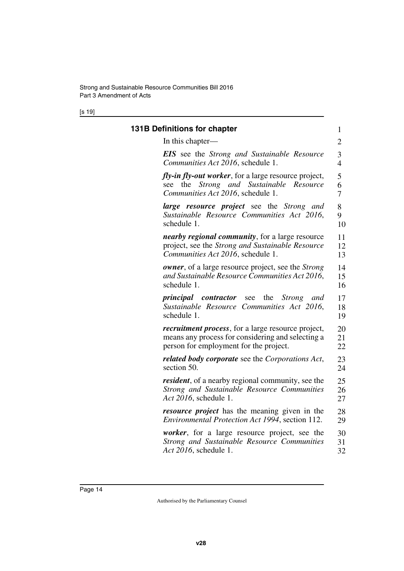[s 19]

<span id="page-15-1"></span><span id="page-15-0"></span>

| <b>131B Definitions for chapter</b>                                                                                                                | 1              |
|----------------------------------------------------------------------------------------------------------------------------------------------------|----------------|
| In this chapter—                                                                                                                                   | $\overline{2}$ |
| <b>EIS</b> see the Strong and Sustainable Resource                                                                                                 | 3              |
| Communities Act 2016, schedule 1.                                                                                                                  | $\overline{4}$ |
| <i>fly-in fly-out worker</i> , for a large resource project,<br>Strong and Sustainable<br>Resource<br>see the<br>Communities Act 2016, schedule 1. | 5<br>6<br>7    |
| <b>large resource project</b> see the Strong and                                                                                                   | 8              |
| Sustainable Resource Communities Act 2016,                                                                                                         | 9              |
| schedule 1.                                                                                                                                        | 10             |
| <i>nearby regional community</i> , for a large resource                                                                                            | 11             |
| project, see the Strong and Sustainable Resource                                                                                                   | 12             |
| Communities Act 2016, schedule 1.                                                                                                                  | 13             |
| <b><i>owner</i></b> , of a large resource project, see the <i>Strong</i>                                                                           | 14             |
| and Sustainable Resource Communities Act 2016,                                                                                                     | 15             |
| schedule 1.                                                                                                                                        | 16             |
| <i>principal contractor</i> see<br>the<br><i>Strong</i><br>and<br>Sustainable Resource Communities Act 2016,<br>schedule 1.                        | 17<br>18<br>19 |
| <i>recruitment process</i> , for a large resource project,                                                                                         | 20             |
| means any process for considering and selecting a                                                                                                  | 21             |
| person for employment for the project.                                                                                                             | 22             |
| <b>related body corporate</b> see the Corporations Act,                                                                                            | 23             |
| section 50.                                                                                                                                        | 24             |
| <i>resident</i> , of a nearby regional community, see the                                                                                          | 25             |
| Strong and Sustainable Resource Communities                                                                                                        | 26             |
| Act 2016, schedule 1.                                                                                                                              | 27             |
| <i>resource project</i> has the meaning given in the                                                                                               | 28             |
| Environmental Protection Act 1994, section 112.                                                                                                    | 29             |
| <i>worker</i> , for a large resource project, see the                                                                                              | 30             |
| Strong and Sustainable Resource Communities                                                                                                        | 31             |
| Act 2016, schedule 1.                                                                                                                              | 32             |
|                                                                                                                                                    |                |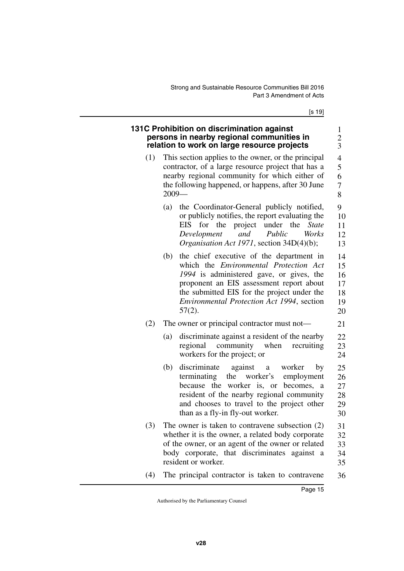[s 19]

21

## <span id="page-16-1"></span><span id="page-16-0"></span>**131C Prohibition on discrimination against persons in nearby regional communities in relation to work on large resource projects**

- (1) This section applies to the owner, or the principal contractor, of a large resource project that has a nearby regional community for which either of the following happened, or happens, after 30 June 2009—
	- (a) the Coordinator-General publicly notified, or publicly notifies, the report evaluating the EIS for the project under the *State Development and Public Works Organisation Act 1971*, section 34D(4)(b); 9 10 11 12 13
	- (b) the chief executive of the department in which the *Environmental Protection Act 1994* is administered gave, or gives, the proponent an EIS assessment report about the submitted EIS for the project under the *Environmental Protection Act 1994*, section 57(2). 14 15 16 17 18 19 20

## (2) The owner or principal contractor must not—

- (a) discriminate against a resident of the nearby regional community when recruiting workers for the project; or 22 23 24
- (b) discriminate against a worker by terminating the worker's employment because the worker is, or becomes, a resident of the nearby regional community and chooses to travel to the project other than as a fly-in fly-out worker. 25 26 27 28 29 30
- (3) The owner is taken to contravene subsection (2) whether it is the owner, a related body corporate of the owner, or an agent of the owner or related body corporate, that discriminates against a resident or worker. 31 32 33 34 35
- (4) The principal contractor is taken to contravene 36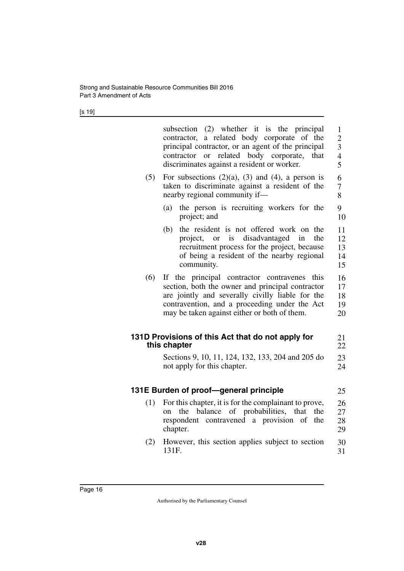[s 19]

<span id="page-17-3"></span><span id="page-17-2"></span><span id="page-17-1"></span><span id="page-17-0"></span>

|     | subsection (2) whether it is the principal<br>contractor, a related body corporate of the<br>principal contractor, or an agent of the principal<br>related body corporate,<br>contractor or<br>that<br>discriminates against a resident or worker.       | $\mathbf{1}$<br>$\overline{2}$<br>3<br>$\overline{4}$<br>5 |
|-----|----------------------------------------------------------------------------------------------------------------------------------------------------------------------------------------------------------------------------------------------------------|------------------------------------------------------------|
| (5) | For subsections $(2)(a)$ , $(3)$ and $(4)$ , a person is<br>taken to discriminate against a resident of the<br>nearby regional community if-                                                                                                             | 6<br>7<br>8                                                |
|     | the person is recruiting workers for the<br>(a)<br>project; and                                                                                                                                                                                          | 9<br>10                                                    |
|     | the resident is not offered work on<br>(b)<br>the<br>disadvantaged<br>project, or is<br>the<br>in<br>recruitment process for the project, because<br>of being a resident of the nearby regional<br>community.                                            | 11<br>12<br>13<br>14<br>15                                 |
| (6) | If the principal contractor contravenes<br>this<br>section, both the owner and principal contractor<br>are jointly and severally civilly liable for the<br>contravention, and a proceeding under the Act<br>may be taken against either or both of them. | 16<br>17<br>18<br>19<br>20                                 |
|     | 131D Provisions of this Act that do not apply for<br>this chapter                                                                                                                                                                                        | 21<br>22                                                   |
|     | Sections 9, 10, 11, 124, 132, 133, 204 and 205 do<br>not apply for this chapter.                                                                                                                                                                         | 23<br>24                                                   |
|     | 131E Burden of proof-general principle                                                                                                                                                                                                                   | 25                                                         |
| (1) | For this chapter, it is for the complainant to prove,<br>balance of probabilities,<br>that<br>the<br>the<br><sub>on</sub><br>respondent contravened a provision<br>of<br>the<br>chapter.                                                                 | 26<br>27<br>28<br>29                                       |
| (2) | However, this section applies subject to section<br>131F.                                                                                                                                                                                                | 30<br>31                                                   |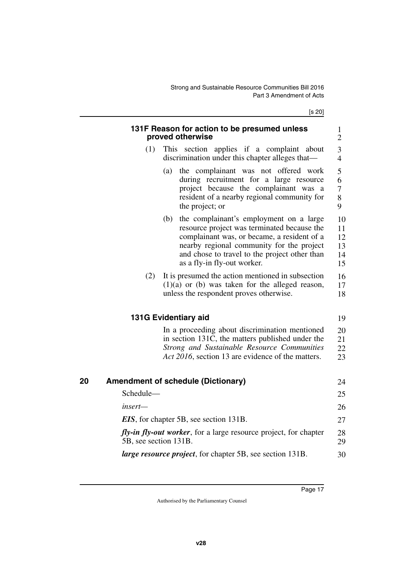[s 20]

<span id="page-18-5"></span><span id="page-18-4"></span><span id="page-18-3"></span><span id="page-18-2"></span><span id="page-18-1"></span><span id="page-18-0"></span>

|    |                       | 131F Reason for action to be presumed unless<br>proved otherwise                                                                                                                                                                                                          | $\mathbf{1}$<br>$\overline{2}$     |
|----|-----------------------|---------------------------------------------------------------------------------------------------------------------------------------------------------------------------------------------------------------------------------------------------------------------------|------------------------------------|
|    | (1)                   | This section applies if a complaint about<br>discrimination under this chapter alleges that—                                                                                                                                                                              | 3<br>$\overline{4}$                |
|    |                       | the complainant was not offered work<br>(a)<br>during recruitment for a large resource<br>project because the complainant was a<br>resident of a nearby regional community for<br>the project; or                                                                         | 5<br>6<br>$\overline{7}$<br>8<br>9 |
|    |                       | the complainant's employment on a large<br>(b)<br>resource project was terminated because the<br>complainant was, or became, a resident of a<br>nearby regional community for the project<br>and chose to travel to the project other than<br>as a fly-in fly-out worker. | 10<br>11<br>12<br>13<br>14<br>15   |
|    | (2)                   | It is presumed the action mentioned in subsection<br>$(1)(a)$ or (b) was taken for the alleged reason,<br>unless the respondent proves otherwise.                                                                                                                         | 16<br>17<br>18                     |
|    |                       | 131G Evidentiary aid                                                                                                                                                                                                                                                      | 19                                 |
|    |                       | In a proceeding about discrimination mentioned<br>in section 131C, the matters published under the<br>Strong and Sustainable Resource Communities<br>Act 2016, section 13 are evidence of the matters.                                                                    | 20<br>21<br>22<br>23               |
| 20 |                       | <b>Amendment of schedule (Dictionary)</b>                                                                                                                                                                                                                                 | 24                                 |
|    | Schedule-             |                                                                                                                                                                                                                                                                           | 25                                 |
|    | insert—               |                                                                                                                                                                                                                                                                           | 26                                 |
|    |                       | <b>EIS</b> , for chapter 5B, see section 131B.                                                                                                                                                                                                                            | 27                                 |
|    | 5B, see section 131B. | <i>fly-in fly-out worker</i> , for a large resource project, for chapter                                                                                                                                                                                                  | 28<br>29                           |
|    |                       | <i>large resource project</i> , for chapter 5B, see section 131B.                                                                                                                                                                                                         | 30                                 |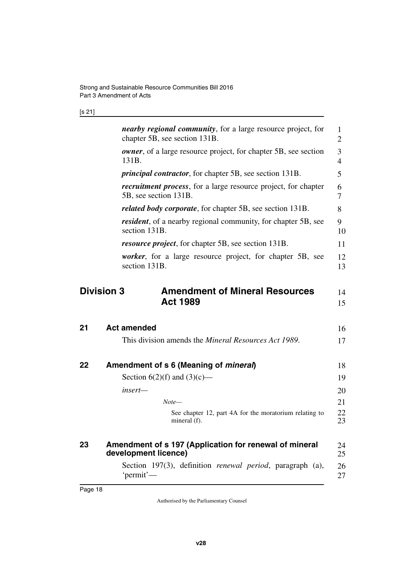## [s 21]

<span id="page-19-7"></span><span id="page-19-6"></span><span id="page-19-5"></span><span id="page-19-4"></span><span id="page-19-3"></span><span id="page-19-2"></span><span id="page-19-1"></span><span id="page-19-0"></span>

|    | nearby regional community, for a large resource project, for<br>chapter 5B, see section 131B.   | 1<br>$\overline{2}$ |
|----|-------------------------------------------------------------------------------------------------|---------------------|
|    | <b><i>owner</i></b> , of a large resource project, for chapter 5B, see section<br>131B.         | 3<br>$\overline{4}$ |
|    | <i>principal contractor</i> , for chapter 5B, see section 131B.                                 | 5                   |
|    | <i>recruitment process</i> , for a large resource project, for chapter<br>5B, see section 131B. | 6<br>$\tau$         |
|    | <i>related body corporate</i> , for chapter 5B, see section 131B.                               | 8                   |
|    | <i>resident</i> , of a nearby regional community, for chapter 5B, see<br>section 131B.          | 9<br>10             |
|    | <i>resource project</i> , for chapter 5B, see section 131B.                                     | 11                  |
|    | <i>worker</i> , for a large resource project, for chapter 5B, see<br>section 131B.              | 12<br>13            |
|    | <b>Division 3</b><br><b>Amendment of Mineral Resources</b><br><b>Act 1989</b>                   | 14<br>15            |
| 21 | <b>Act amended</b>                                                                              | 16                  |
|    | This division amends the <i>Mineral Resources Act 1989</i> .                                    | 17                  |
| 22 | Amendment of s 6 (Meaning of <i>mineral</i> )                                                   | 18                  |
|    | Section $6(2)(f)$ and $(3)(c)$ —                                                                | 19                  |
|    | insert-                                                                                         | 20                  |
|    | $Note-$                                                                                         | 21                  |
|    | See chapter 12, part 4A for the moratorium relating to<br>mineral (f).                          | 22<br>23            |
|    |                                                                                                 |                     |
| 23 | Amendment of s 197 (Application for renewal of mineral<br>development licence)                  | 24<br>25            |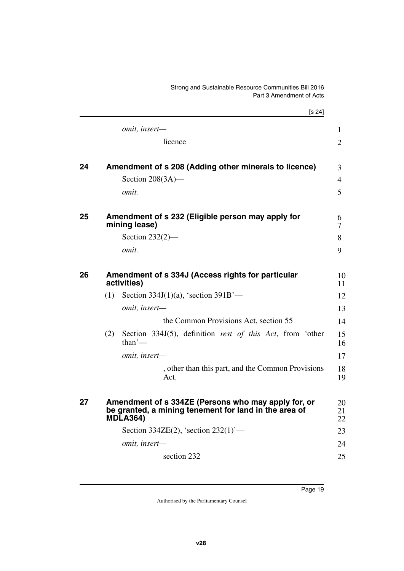## Strong and Sustainable Resource Communities Bill 2016 Part 3 Amendment of Acts

<span id="page-20-7"></span><span id="page-20-6"></span><span id="page-20-5"></span><span id="page-20-4"></span><span id="page-20-3"></span><span id="page-20-2"></span><span id="page-20-1"></span><span id="page-20-0"></span>

|    |     | [s 24]                                                                                                                          |                |  |
|----|-----|---------------------------------------------------------------------------------------------------------------------------------|----------------|--|
|    |     | omit, insert-                                                                                                                   | $\mathbf{1}$   |  |
|    |     | licence                                                                                                                         | 2              |  |
| 24 |     | Amendment of s 208 (Adding other minerals to licence)                                                                           | 3              |  |
|    |     | Section $208(3A)$ —                                                                                                             | 4              |  |
|    |     | omit.                                                                                                                           | 5              |  |
| 25 |     | Amendment of s 232 (Eligible person may apply for<br>mining lease)                                                              | 6<br>7         |  |
|    |     | Section $232(2)$ —                                                                                                              | 8              |  |
|    |     | omit.                                                                                                                           | 9              |  |
| 26 |     | Amendment of s 334J (Access rights for particular<br>activities)                                                                |                |  |
|    | (1) | Section 334J $(1)(a)$ , 'section 391B'—                                                                                         | 12             |  |
|    |     | omit, insert-                                                                                                                   | 13             |  |
|    |     | the Common Provisions Act, section 55                                                                                           | 14             |  |
|    | (2) | Section 334J(5), definition rest of this Act, from 'other<br>$than'$ —                                                          | 15<br>16       |  |
|    |     | omit, insert-                                                                                                                   | 17             |  |
|    |     | , other than this part, and the Common Provisions<br>Act.                                                                       | 18<br>19       |  |
| 27 |     | Amendment of s 334ZE (Persons who may apply for, or<br>be granted, a mining tenement for land in the area of<br><b>MDLA364)</b> | 20<br>21<br>22 |  |
|    |     | Section 334ZE(2), 'section 232(1)'-                                                                                             | 23             |  |
|    |     | omit, insert-                                                                                                                   | 24             |  |
|    |     | section 232                                                                                                                     | 25             |  |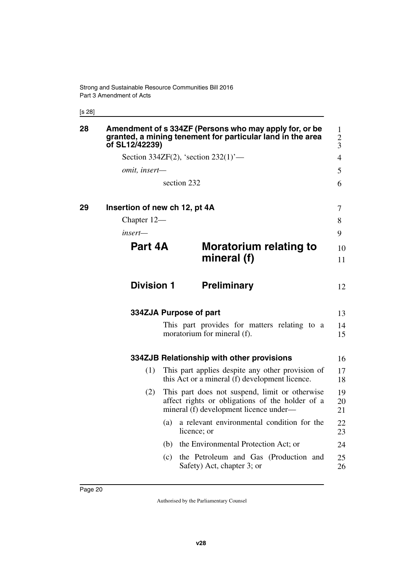[s 28]

<span id="page-21-11"></span><span id="page-21-10"></span><span id="page-21-9"></span><span id="page-21-8"></span><span id="page-21-7"></span><span id="page-21-6"></span><span id="page-21-5"></span><span id="page-21-4"></span><span id="page-21-3"></span><span id="page-21-2"></span><span id="page-21-1"></span><span id="page-21-0"></span>

| 28 | of SL12/42239)                |     | Amendment of s 334ZF (Persons who may apply for, or be<br>granted, a mining tenement for particular land in the area                        | $\mathbf{1}$<br>$\overline{c}$<br>3 |
|----|-------------------------------|-----|---------------------------------------------------------------------------------------------------------------------------------------------|-------------------------------------|
|    |                               |     | Section 334ZF(2), 'section $232(1)$ '—                                                                                                      | $\overline{4}$                      |
|    | omit, insert-                 |     |                                                                                                                                             | 5                                   |
|    |                               |     | section 232                                                                                                                                 | 6                                   |
| 29 | Insertion of new ch 12, pt 4A |     |                                                                                                                                             | 7                                   |
|    | Chapter 12-                   |     |                                                                                                                                             | 8                                   |
|    | insert—                       |     |                                                                                                                                             | 9                                   |
|    | Part 4A                       |     | Moratorium relating to                                                                                                                      | 10                                  |
|    |                               |     | mineral (f)                                                                                                                                 | 11                                  |
|    | <b>Division 1</b>             |     | <b>Preliminary</b>                                                                                                                          | 12                                  |
|    |                               |     | 334ZJA Purpose of part                                                                                                                      | 13                                  |
|    |                               |     | This part provides for matters relating to a<br>moratorium for mineral (f).                                                                 | 14<br>15                            |
|    |                               |     | 334ZJB Relationship with other provisions                                                                                                   | 16                                  |
|    | (1)                           |     | This part applies despite any other provision of<br>this Act or a mineral (f) development licence.                                          | 17<br>18                            |
|    | (2)                           |     | This part does not suspend, limit or otherwise<br>affect rights or obligations of the holder of a<br>mineral (f) development licence under— | 19<br>20<br>21                      |
|    |                               | (a) | a relevant environmental condition for the<br>licence; or                                                                                   | 22<br>23                            |
|    |                               | (b) | the Environmental Protection Act; or                                                                                                        | 24                                  |
|    |                               | (c) | the Petroleum and Gas (Production and<br>Safety) Act, chapter 3; or                                                                         | 25<br>26                            |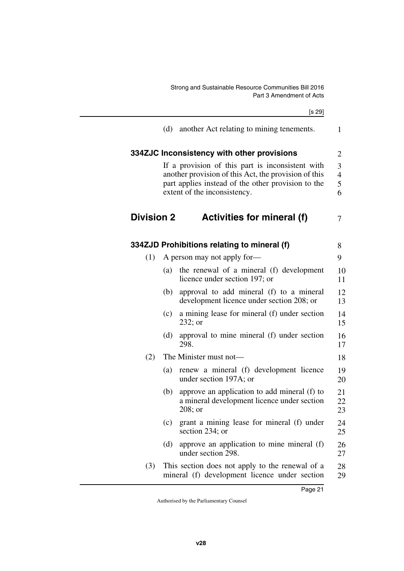<span id="page-22-3"></span><span id="page-22-1"></span>Strong and Sustainable Resource Communities Bill 2016 Part 3 Amendment of Acts

<span id="page-22-5"></span><span id="page-22-4"></span><span id="page-22-2"></span><span id="page-22-0"></span>

|                   |             | [s 29]                                                                                                                                                                                         |
|-------------------|-------------|------------------------------------------------------------------------------------------------------------------------------------------------------------------------------------------------|
|                   | (d)         | another Act relating to mining tenements.                                                                                                                                                      |
|                   |             | 334ZJC Inconsistency with other provisions                                                                                                                                                     |
|                   |             | If a provision of this part is inconsistent with<br>another provision of this Act, the provision of this<br>part applies instead of the other provision to the<br>extent of the inconsistency. |
| <b>Division 2</b> |             | Activities for mineral (f)                                                                                                                                                                     |
|                   |             | 334ZJD Prohibitions relating to mineral (f)                                                                                                                                                    |
| (1)               |             | A person may not apply for-                                                                                                                                                                    |
|                   | (a)         | the renewal of a mineral (f) development<br>licence under section 197; or                                                                                                                      |
|                   | (b)         | approval to add mineral (f) to a mineral<br>development licence under section 208; or                                                                                                          |
|                   | (c)         | a mining lease for mineral (f) under section<br>$232;$ or                                                                                                                                      |
|                   | (d)<br>298. | approval to mine mineral (f) under section                                                                                                                                                     |
| (2)               |             | The Minister must not-                                                                                                                                                                         |
|                   | (a)         | renew a mineral (f) development licence<br>under section 197A; or                                                                                                                              |
|                   | (b)         | approve an application to add mineral (f) to<br>a mineral development licence under section<br>208; or                                                                                         |
|                   | (c)         | grant a mining lease for mineral (f) under<br>section 234; or                                                                                                                                  |
|                   | (d)         | approve an application to mine mineral (f)<br>under section 298.                                                                                                                               |
| (3)               |             | This section does not apply to the renewal of a<br>mineral (f) development licence under section                                                                                               |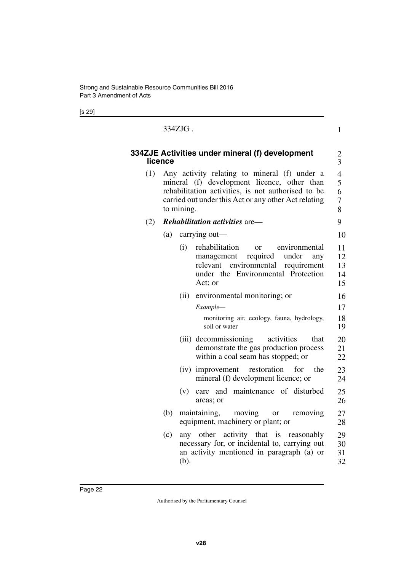[s 29]

### <span id="page-23-1"></span>334ZJG .

## <span id="page-23-0"></span>**334ZJE Activities under mineral (f) development licence**

(1) Any activity relating to mineral (f) under a mineral (f) development licence, other than rehabilitation activities, is not authorised to be carried out under this Act or any other Act relating to mining.

1

## (2) *Rehabilitation activities* are—

## (a) carrying out—

(i) rehabilitation or environmental management required under any relevant environmental requirement under the Environmental Protection Act; or (ii) environmental monitoring; or *Example* monitoring air, ecology, fauna, hydrology, soil or water (iii) decommissioning activities that demonstrate the gas production process within a coal seam has stopped; or (iv) improvement restoration for the mineral (f) development licence; or (v) care and maintenance of disturbed areas; or (b) maintaining, moving or removing equipment, machinery or plant; or (c) any other activity that is reasonably necessary for, or incidental to, carrying out an activity mentioned in paragraph (a) or (b). 10 11 12 13 14 15 16 17 18 19 20 21 22 23 24 25 26 27 28 29 30 31 32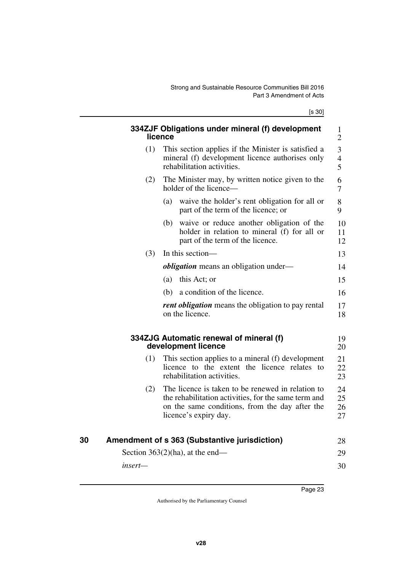[s 30]

<span id="page-24-5"></span><span id="page-24-4"></span><span id="page-24-3"></span><span id="page-24-2"></span><span id="page-24-1"></span><span id="page-24-0"></span>

|    |         | licence | 334ZJF Obligations under mineral (f) development                                                                                                                                     | 1<br>$\overline{2}$  |
|----|---------|---------|--------------------------------------------------------------------------------------------------------------------------------------------------------------------------------------|----------------------|
|    | (1)     |         | This section applies if the Minister is satisfied a<br>mineral (f) development licence authorises only<br>rehabilitation activities.                                                 | 3<br>$rac{4}{5}$     |
|    | (2)     |         | The Minister may, by written notice given to the<br>holder of the licence—                                                                                                           | 6<br>7               |
|    |         | (a)     | waive the holder's rent obligation for all or<br>part of the term of the licence; or                                                                                                 | 8<br>9               |
|    |         | (b)     | waive or reduce another obligation of the<br>holder in relation to mineral (f) for all or<br>part of the term of the licence.                                                        | 10<br>11<br>12       |
|    | (3)     |         | In this section-                                                                                                                                                                     | 13                   |
|    |         |         | <i>obligation</i> means an obligation under—                                                                                                                                         | 14                   |
|    |         | (a)     | this Act; or                                                                                                                                                                         | 15                   |
|    |         | (b)     | a condition of the licence.                                                                                                                                                          | 16                   |
|    |         |         | <i>rent obligation</i> means the obligation to pay rental<br>on the licence.                                                                                                         | 17<br>18             |
|    |         |         | 334ZJG Automatic renewal of mineral (f)<br>development licence                                                                                                                       | 19<br>20             |
|    | (1)     |         | This section applies to a mineral (f) development<br>licence to the extent the licence relates to<br>rehabilitation activities.                                                      | 21<br>22<br>23       |
|    | (2)     |         | The licence is taken to be renewed in relation to<br>the rehabilitation activities, for the same term and<br>on the same conditions, from the day after the<br>licence's expiry day. | 24<br>25<br>26<br>27 |
| 30 |         |         | Amendment of s 363 (Substantive jurisdiction)                                                                                                                                        | 28                   |
|    |         |         | Section $363(2)$ (ha), at the end—                                                                                                                                                   | 29                   |
|    | insert- |         |                                                                                                                                                                                      | 30                   |
|    |         |         |                                                                                                                                                                                      |                      |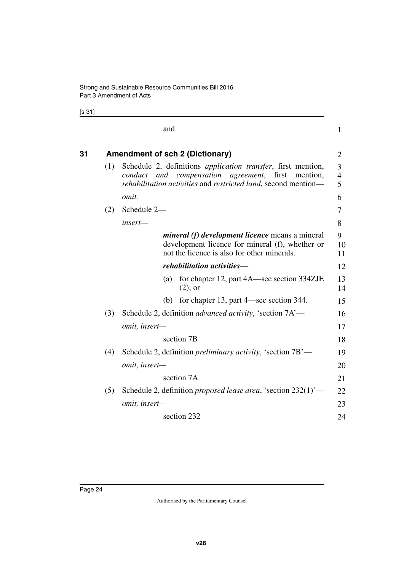[s 31]

<span id="page-25-1"></span><span id="page-25-0"></span>

|    |     | and                                                                                                                                                                                                | $\mathbf{1}$  |  |  |  |
|----|-----|----------------------------------------------------------------------------------------------------------------------------------------------------------------------------------------------------|---------------|--|--|--|
| 31 |     | <b>Amendment of sch 2 (Dictionary)</b>                                                                                                                                                             |               |  |  |  |
|    | (1) | Schedule 2, definitions <i>application transfer</i> , first mention,<br>and compensation agreement, first<br>conduct<br>mention,<br>rehabilitation activities and restricted land, second mention— |               |  |  |  |
|    |     | omit.                                                                                                                                                                                              | 6             |  |  |  |
|    | (2) | Schedule 2-                                                                                                                                                                                        | 7             |  |  |  |
|    |     | insert-                                                                                                                                                                                            | 8             |  |  |  |
|    |     | <i>mineral (f) development licence</i> means a mineral<br>development licence for mineral (f), whether or<br>not the licence is also for other minerals.                                           | 9<br>10<br>11 |  |  |  |
|    |     | rehabilitation activities-                                                                                                                                                                         | 12            |  |  |  |
|    |     | for chapter 12, part 4A—see section 334ZJE<br>(a)<br>$(2)$ ; or                                                                                                                                    | 13<br>14      |  |  |  |
|    |     | for chapter 13, part 4—see section 344.<br>(b)                                                                                                                                                     | 15            |  |  |  |
|    | (3) | Schedule 2, definition <i>advanced activity</i> , 'section 7A'—                                                                                                                                    | 16            |  |  |  |
|    |     | omit, insert-                                                                                                                                                                                      | 17            |  |  |  |
|    |     | section 7B                                                                                                                                                                                         | 18            |  |  |  |
|    | (4) | Schedule 2, definition <i>preliminary activity</i> , 'section 7B'—                                                                                                                                 |               |  |  |  |
|    |     | omit, insert-                                                                                                                                                                                      |               |  |  |  |
|    |     | section 7A                                                                                                                                                                                         | 21            |  |  |  |
|    | (5) | Schedule 2, definition <i>proposed lease area</i> , 'section $232(1)$ '—                                                                                                                           | 22            |  |  |  |
|    |     | omit, insert-                                                                                                                                                                                      | 23            |  |  |  |
|    |     | section 232                                                                                                                                                                                        | 24            |  |  |  |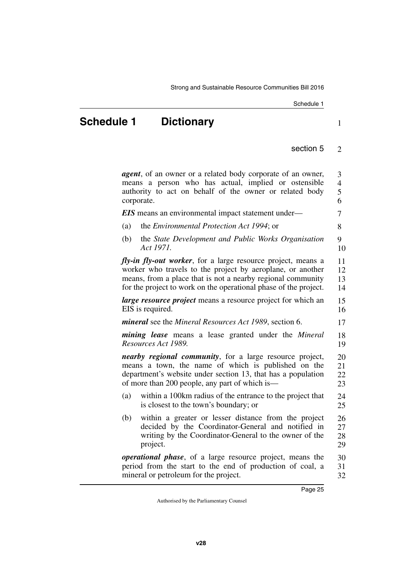Schedule 1

#### section 5  $\mathfrak{D}$

1

<span id="page-26-1"></span><span id="page-26-0"></span>*agent*, of an owner or a related body corporate of an owner, means a person who has actual, implied or ostensible authority to act on behalf of the owner or related body corporate. *EIS* means an environmental impact statement under— (a) the *Environmental Protection Act 1994*; or (b) the *State Development and Public Works Organisation Act 1971. fly-in fly-out worker*, for a large resource project, means a worker who travels to the project by aeroplane, or another means, from a place that is not a nearby regional community for the project to work on the operational phase of the project. *large resource project* means a resource project for which an EIS is required. *mineral* see the *Mineral Resources Act 1989*, section 6. *mining lease* means a lease granted under the *Mineral Resources Act 1989. nearby regional community*, for a large resource project, means a town, the name of which is published on the department's website under section 13, that has a population of more than 200 people, any part of which is— (a) within a 100km radius of the entrance to the project that is closest to the town's boundary; or (b) within a greater or lesser distance from the project decided by the Coordinator-General and notified in writing by the Coordinator-General to the owner of the project. *operational phase*, of a large resource project, means the period from the start to the end of production of coal, a mineral or petroleum for the project. 3 4 5 6 7 8 9 10 11 12 13 14 15 16 17 18 19 20 21 22 23 24 25 26 27 28 29 30 31 32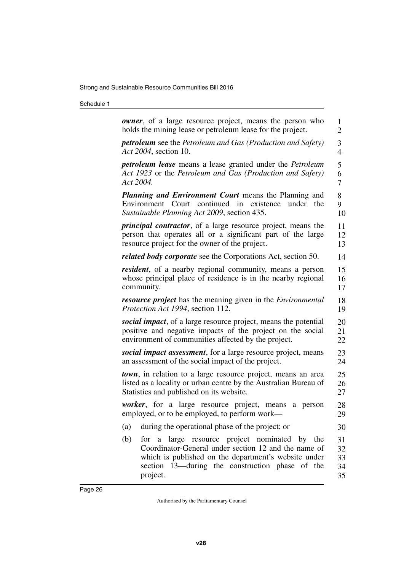## Schedule 1

| <b><i>owner</i></b> , of a large resource project, means the person who<br>holds the mining lease or petroleum lease for the project.                                                                                                  |                            |  |  |  |
|----------------------------------------------------------------------------------------------------------------------------------------------------------------------------------------------------------------------------------------|----------------------------|--|--|--|
| <b>petroleum</b> see the Petroleum and Gas (Production and Safety)<br>Act 2004, section 10.                                                                                                                                            |                            |  |  |  |
| <b>petroleum lease</b> means a lease granted under the <i>Petroleum</i>                                                                                                                                                                | 5                          |  |  |  |
| Act 1923 or the Petroleum and Gas (Production and Safety)                                                                                                                                                                              | 6                          |  |  |  |
| Act 2004.                                                                                                                                                                                                                              | 7                          |  |  |  |
| <b>Planning and Environment Court</b> means the Planning and<br>Environment Court continued in<br>existence<br>the<br>under<br>Sustainable Planning Act 2009, section 435.                                                             | 8<br>9<br>10               |  |  |  |
| <i>principal contractor</i> , of a large resource project, means the                                                                                                                                                                   | 11                         |  |  |  |
| person that operates all or a significant part of the large                                                                                                                                                                            | 12                         |  |  |  |
| resource project for the owner of the project.                                                                                                                                                                                         | 13                         |  |  |  |
| <i>related body corporate</i> see the Corporations Act, section 50.                                                                                                                                                                    | 14                         |  |  |  |
| <i>resident</i> , of a nearby regional community, means a person                                                                                                                                                                       | 15                         |  |  |  |
| whose principal place of residence is in the nearby regional                                                                                                                                                                           | 16                         |  |  |  |
| community.                                                                                                                                                                                                                             | 17                         |  |  |  |
| <b>resource project</b> has the meaning given in the <i>Environmental</i>                                                                                                                                                              | 18                         |  |  |  |
| Protection Act 1994, section 112.                                                                                                                                                                                                      | 19                         |  |  |  |
| social impact, of a large resource project, means the potential                                                                                                                                                                        | 20                         |  |  |  |
| positive and negative impacts of the project on the social                                                                                                                                                                             | 21                         |  |  |  |
| environment of communities affected by the project.                                                                                                                                                                                    | 22                         |  |  |  |
| social impact assessment, for a large resource project, means                                                                                                                                                                          | 23                         |  |  |  |
| an assessment of the social impact of the project.                                                                                                                                                                                     | 24                         |  |  |  |
| <b>town</b> , in relation to a large resource project, means an area                                                                                                                                                                   | 25                         |  |  |  |
| listed as a locality or urban centre by the Australian Bureau of                                                                                                                                                                       | 26                         |  |  |  |
| Statistics and published on its website.                                                                                                                                                                                               | 27                         |  |  |  |
| <i>worker</i> , for a large resource project, means<br>a<br>person<br>employed, or to be employed, to perform work—                                                                                                                    | 28<br>29                   |  |  |  |
| during the operational phase of the project; or<br>(a)                                                                                                                                                                                 | 30                         |  |  |  |
| (b)<br>large resource project nominated by the<br>for a<br>Coordinator-General under section 12 and the name of<br>which is published on the department's website under<br>section 13—during the construction phase of the<br>project. | 31<br>32<br>33<br>34<br>35 |  |  |  |